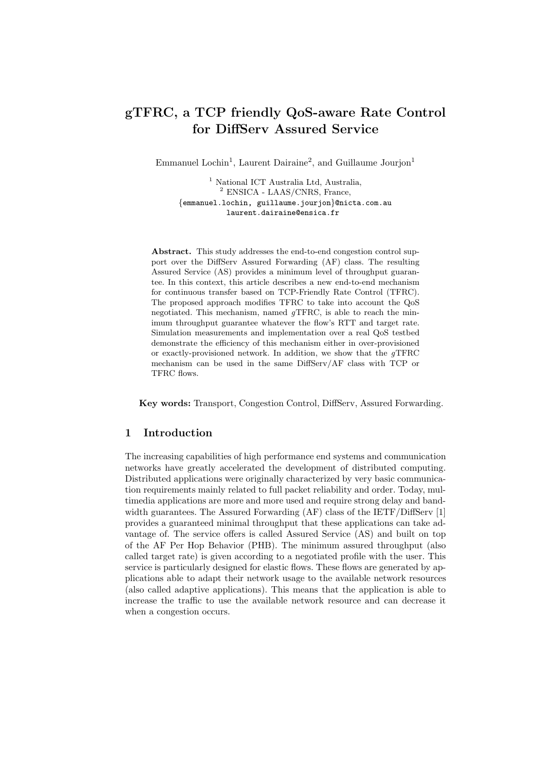# gTFRC, a TCP friendly QoS-aware Rate Control for DiffServ Assured Service

Emmanuel Lochin<sup>1</sup>, Laurent Dairaine<sup>2</sup>, and Guillaume Jourjon<sup>1</sup>

<sup>1</sup> National ICT Australia Ltd, Australia, <sup>2</sup> ENSICA - LAAS/CNRS, France, {emmanuel.lochin, guillaume.jourjon}@nicta.com.au laurent.dairaine@ensica.fr

Abstract. This study addresses the end-to-end congestion control support over the DiffServ Assured Forwarding (AF) class. The resulting Assured Service (AS) provides a minimum level of throughput guarantee. In this context, this article describes a new end-to-end mechanism for continuous transfer based on TCP-Friendly Rate Control (TFRC). The proposed approach modifies TFRC to take into account the QoS negotiated. This mechanism, named  $q$ TFRC, is able to reach the minimum throughput guarantee whatever the flow's RTT and target rate. Simulation measurements and implementation over a real QoS testbed demonstrate the efficiency of this mechanism either in over-provisioned or exactly-provisioned network. In addition, we show that the gTFRC mechanism can be used in the same DiffServ/AF class with TCP or TFRC flows.

Key words: Transport, Congestion Control, DiffServ, Assured Forwarding.

### 1 Introduction

The increasing capabilities of high performance end systems and communication networks have greatly accelerated the development of distributed computing. Distributed applications were originally characterized by very basic communication requirements mainly related to full packet reliability and order. Today, multimedia applications are more and more used and require strong delay and bandwidth guarantees. The Assured Forwarding (AF) class of the IETF/DiffServ [1] provides a guaranteed minimal throughput that these applications can take advantage of. The service offers is called Assured Service (AS) and built on top of the AF Per Hop Behavior (PHB). The minimum assured throughput (also called target rate) is given according to a negotiated profile with the user. This service is particularly designed for elastic flows. These flows are generated by applications able to adapt their network usage to the available network resources (also called adaptive applications). This means that the application is able to increase the traffic to use the available network resource and can decrease it when a congestion occurs.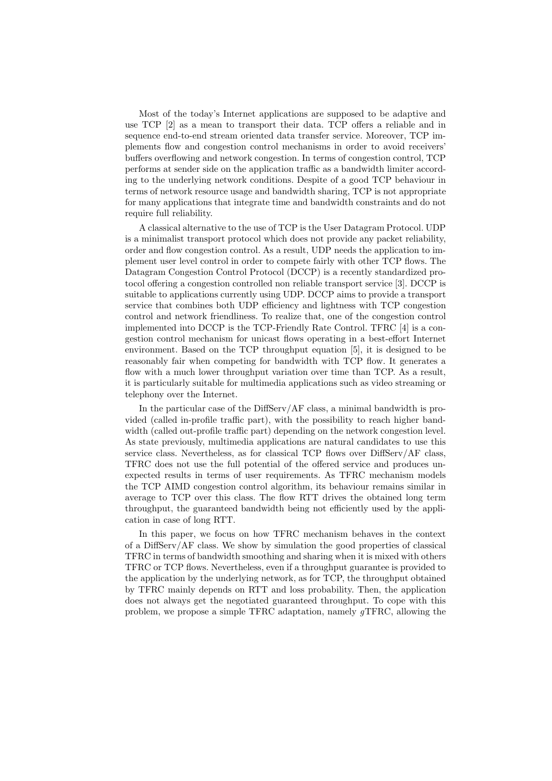Most of the today's Internet applications are supposed to be adaptive and use TCP [2] as a mean to transport their data. TCP offers a reliable and in sequence end-to-end stream oriented data transfer service. Moreover, TCP implements flow and congestion control mechanisms in order to avoid receivers' buffers overflowing and network congestion. In terms of congestion control, TCP performs at sender side on the application traffic as a bandwidth limiter according to the underlying network conditions. Despite of a good TCP behaviour in terms of network resource usage and bandwidth sharing, TCP is not appropriate for many applications that integrate time and bandwidth constraints and do not require full reliability.

A classical alternative to the use of TCP is the User Datagram Protocol. UDP is a minimalist transport protocol which does not provide any packet reliability, order and flow congestion control. As a result, UDP needs the application to implement user level control in order to compete fairly with other TCP flows. The Datagram Congestion Control Protocol (DCCP) is a recently standardized protocol offering a congestion controlled non reliable transport service [3]. DCCP is suitable to applications currently using UDP. DCCP aims to provide a transport service that combines both UDP efficiency and lightness with TCP congestion control and network friendliness. To realize that, one of the congestion control implemented into DCCP is the TCP-Friendly Rate Control. TFRC [4] is a congestion control mechanism for unicast flows operating in a best-effort Internet environment. Based on the TCP throughput equation [5], it is designed to be reasonably fair when competing for bandwidth with TCP flow. It generates a flow with a much lower throughput variation over time than TCP. As a result, it is particularly suitable for multimedia applications such as video streaming or telephony over the Internet.

In the particular case of the DiffServ/AF class, a minimal bandwidth is provided (called in-profile traffic part), with the possibility to reach higher bandwidth (called out-profile traffic part) depending on the network congestion level. As state previously, multimedia applications are natural candidates to use this service class. Nevertheless, as for classical TCP flows over DiffServ/AF class, TFRC does not use the full potential of the offered service and produces unexpected results in terms of user requirements. As TFRC mechanism models the TCP AIMD congestion control algorithm, its behaviour remains similar in average to TCP over this class. The flow RTT drives the obtained long term throughput, the guaranteed bandwidth being not efficiently used by the application in case of long RTT.

In this paper, we focus on how TFRC mechanism behaves in the context of a DiffServ/AF class. We show by simulation the good properties of classical TFRC in terms of bandwidth smoothing and sharing when it is mixed with others TFRC or TCP flows. Nevertheless, even if a throughput guarantee is provided to the application by the underlying network, as for TCP, the throughput obtained by TFRC mainly depends on RTT and loss probability. Then, the application does not always get the negotiated guaranteed throughput. To cope with this problem, we propose a simple TFRC adaptation, namely  $q$ TFRC, allowing the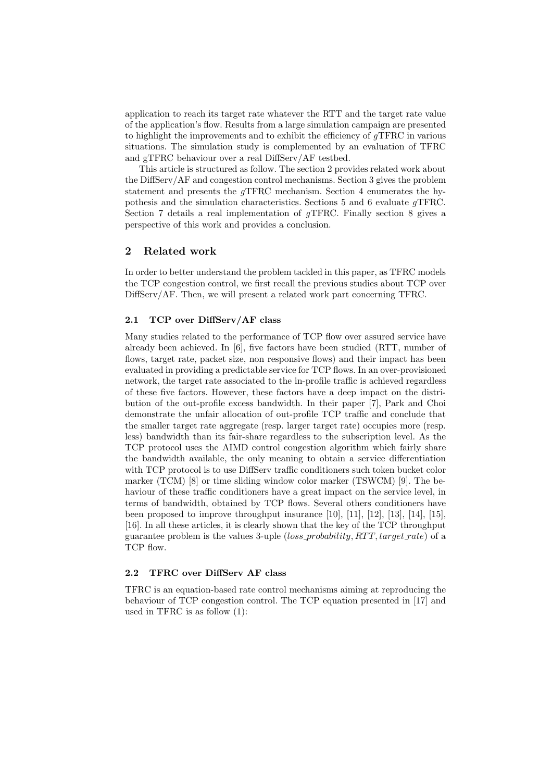application to reach its target rate whatever the RTT and the target rate value of the application's flow. Results from a large simulation campaign are presented to highlight the improvements and to exhibit the efficiency of  $gTFRC$  in various situations. The simulation study is complemented by an evaluation of TFRC and gTFRC behaviour over a real DiffServ/AF testbed.

This article is structured as follow. The section 2 provides related work about the DiffServ/AF and congestion control mechanisms. Section 3 gives the problem statement and presents the  $qTFRC$  mechanism. Section 4 enumerates the hypothesis and the simulation characteristics. Sections 5 and 6 evaluate  $qTFRC$ . Section 7 details a real implementation of  $qTFRC$ . Finally section 8 gives a perspective of this work and provides a conclusion.

### 2 Related work

In order to better understand the problem tackled in this paper, as TFRC models the TCP congestion control, we first recall the previous studies about TCP over DiffServ/AF. Then, we will present a related work part concerning TFRC.

### 2.1 TCP over DiffServ/AF class

Many studies related to the performance of TCP flow over assured service have already been achieved. In [6], five factors have been studied (RTT, number of flows, target rate, packet size, non responsive flows) and their impact has been evaluated in providing a predictable service for TCP flows. In an over-provisioned network, the target rate associated to the in-profile traffic is achieved regardless of these five factors. However, these factors have a deep impact on the distribution of the out-profile excess bandwidth. In their paper [7], Park and Choi demonstrate the unfair allocation of out-profile TCP traffic and conclude that the smaller target rate aggregate (resp. larger target rate) occupies more (resp. less) bandwidth than its fair-share regardless to the subscription level. As the TCP protocol uses the AIMD control congestion algorithm which fairly share the bandwidth available, the only meaning to obtain a service differentiation with TCP protocol is to use DiffServ traffic conditioners such token bucket color marker (TCM) [8] or time sliding window color marker (TSWCM) [9]. The behaviour of these traffic conditioners have a great impact on the service level, in terms of bandwidth, obtained by TCP flows. Several others conditioners have been proposed to improve throughput insurance [10], [11], [12], [13], [14], [15], [16]. In all these articles, it is clearly shown that the key of the TCP throughput guarantee problem is the values 3-uple  $(loss\_probability, RTT, target\_rate)$  of a TCP flow.

#### 2.2 TFRC over DiffServ AF class

TFRC is an equation-based rate control mechanisms aiming at reproducing the behaviour of TCP congestion control. The TCP equation presented in [17] and used in TFRC is as follow (1):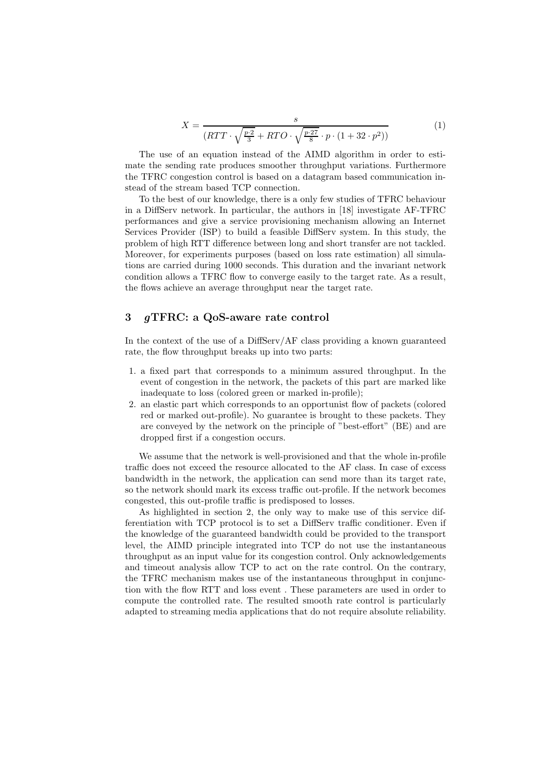$$
X = \frac{s}{(RTT \cdot \sqrt{\frac{p \cdot 2}{3}} + RTO \cdot \sqrt{\frac{p \cdot 27}{8}} \cdot p \cdot (1 + 32 \cdot p^2))}
$$
(1)

The use of an equation instead of the AIMD algorithm in order to estimate the sending rate produces smoother throughput variations. Furthermore the TFRC congestion control is based on a datagram based communication instead of the stream based TCP connection.

To the best of our knowledge, there is a only few studies of TFRC behaviour in a DiffServ network. In particular, the authors in [18] investigate AF-TFRC performances and give a service provisioning mechanism allowing an Internet Services Provider (ISP) to build a feasible DiffServ system. In this study, the problem of high RTT difference between long and short transfer are not tackled. Moreover, for experiments purposes (based on loss rate estimation) all simulations are carried during 1000 seconds. This duration and the invariant network condition allows a TFRC flow to converge easily to the target rate. As a result, the flows achieve an average throughput near the target rate.

### 3 gTFRC: a QoS-aware rate control

In the context of the use of a DiffServ/AF class providing a known guaranteed rate, the flow throughput breaks up into two parts:

- 1. a fixed part that corresponds to a minimum assured throughput. In the event of congestion in the network, the packets of this part are marked like inadequate to loss (colored green or marked in-profile);
- 2. an elastic part which corresponds to an opportunist flow of packets (colored red or marked out-profile). No guarantee is brought to these packets. They are conveyed by the network on the principle of "best-effort" (BE) and are dropped first if a congestion occurs.

We assume that the network is well-provisioned and that the whole in-profile traffic does not exceed the resource allocated to the AF class. In case of excess bandwidth in the network, the application can send more than its target rate, so the network should mark its excess traffic out-profile. If the network becomes congested, this out-profile traffic is predisposed to losses.

As highlighted in section 2, the only way to make use of this service differentiation with TCP protocol is to set a DiffServ traffic conditioner. Even if the knowledge of the guaranteed bandwidth could be provided to the transport level, the AIMD principle integrated into TCP do not use the instantaneous throughput as an input value for its congestion control. Only acknowledgements and timeout analysis allow TCP to act on the rate control. On the contrary, the TFRC mechanism makes use of the instantaneous throughput in conjunction with the flow RTT and loss event . These parameters are used in order to compute the controlled rate. The resulted smooth rate control is particularly adapted to streaming media applications that do not require absolute reliability.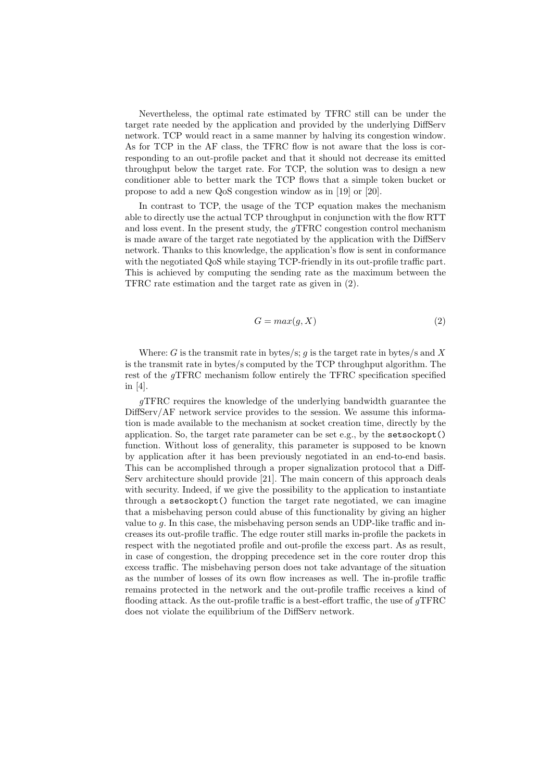Nevertheless, the optimal rate estimated by TFRC still can be under the target rate needed by the application and provided by the underlying DiffServ network. TCP would react in a same manner by halving its congestion window. As for TCP in the AF class, the TFRC flow is not aware that the loss is corresponding to an out-profile packet and that it should not decrease its emitted throughput below the target rate. For TCP, the solution was to design a new conditioner able to better mark the TCP flows that a simple token bucket or propose to add a new QoS congestion window as in [19] or [20].

In contrast to TCP, the usage of the TCP equation makes the mechanism able to directly use the actual TCP throughput in conjunction with the flow RTT and loss event. In the present study, the gTFRC congestion control mechanism is made aware of the target rate negotiated by the application with the DiffServ network. Thanks to this knowledge, the application's flow is sent in conformance with the negotiated QoS while staying TCP-friendly in its out-profile traffic part. This is achieved by computing the sending rate as the maximum between the TFRC rate estimation and the target rate as given in (2).

$$
G = max(g, X) \tag{2}
$$

Where: G is the transmit rate in bytes/s; g is the target rate in bytes/s and X is the transmit rate in bytes/s computed by the TCP throughput algorithm. The rest of the gTFRC mechanism follow entirely the TFRC specification specified in [4].

gTFRC requires the knowledge of the underlying bandwidth guarantee the DiffServ/AF network service provides to the session. We assume this information is made available to the mechanism at socket creation time, directly by the application. So, the target rate parameter can be set e.g., by the setsockopt() function. Without loss of generality, this parameter is supposed to be known by application after it has been previously negotiated in an end-to-end basis. This can be accomplished through a proper signalization protocol that a Diff-Serv architecture should provide [21]. The main concern of this approach deals with security. Indeed, if we give the possibility to the application to instantiate through a setsockopt() function the target rate negotiated, we can imagine that a misbehaving person could abuse of this functionality by giving an higher value to g. In this case, the misbehaving person sends an UDP-like traffic and increases its out-profile traffic. The edge router still marks in-profile the packets in respect with the negotiated profile and out-profile the excess part. As as result, in case of congestion, the dropping precedence set in the core router drop this excess traffic. The misbehaving person does not take advantage of the situation as the number of losses of its own flow increases as well. The in-profile traffic remains protected in the network and the out-profile traffic receives a kind of flooding attack. As the out-profile traffic is a best-effort traffic, the use of gTFRC does not violate the equilibrium of the DiffServ network.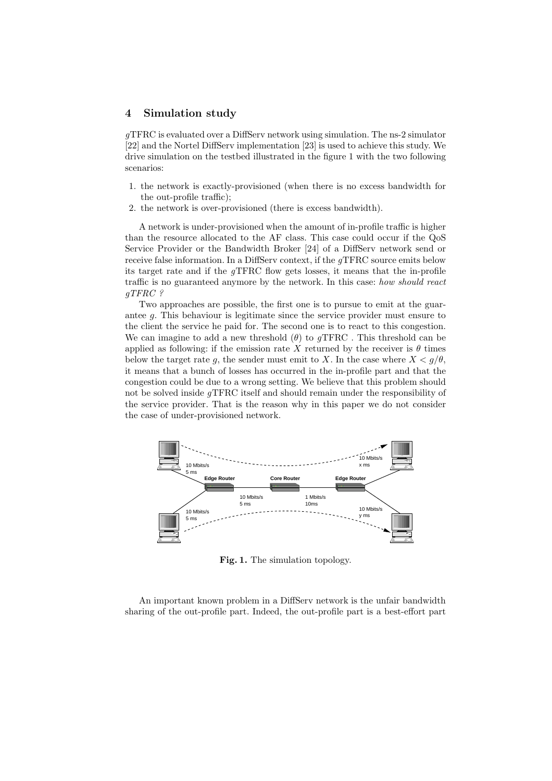### 4 Simulation study

gTFRC is evaluated over a DiffServ network using simulation. The ns-2 simulator [22] and the Nortel DiffServ implementation [23] is used to achieve this study. We drive simulation on the testbed illustrated in the figure 1 with the two following scenarios:

- 1. the network is exactly-provisioned (when there is no excess bandwidth for the out-profile traffic);
- 2. the network is over-provisioned (there is excess bandwidth).

A network is under-provisioned when the amount of in-profile traffic is higher than the resource allocated to the AF class. This case could occur if the QoS Service Provider or the Bandwidth Broker [24] of a DiffServ network send or receive false information. In a DiffServ context, if the  $qTFRC$  source emits below its target rate and if the  $qTFRC$  flow gets losses, it means that the in-profile traffic is no guaranteed anymore by the network. In this case: how should react gTFRC ?

Two approaches are possible, the first one is to pursue to emit at the guarantee g. This behaviour is legitimate since the service provider must ensure to the client the service he paid for. The second one is to react to this congestion. We can imagine to add a new threshold  $(\theta)$  to gTFRC. This threshold can be applied as following: if the emission rate X returned by the receiver is  $\theta$  times below the target rate g, the sender must emit to X. In the case where  $X < g/\theta$ , it means that a bunch of losses has occurred in the in-profile part and that the congestion could be due to a wrong setting. We believe that this problem should not be solved inside gTFRC itself and should remain under the responsibility of the service provider. That is the reason why in this paper we do not consider the case of under-provisioned network.



Fig. 1. The simulation topology.

An important known problem in a DiffServ network is the unfair bandwidth sharing of the out-profile part. Indeed, the out-profile part is a best-effort part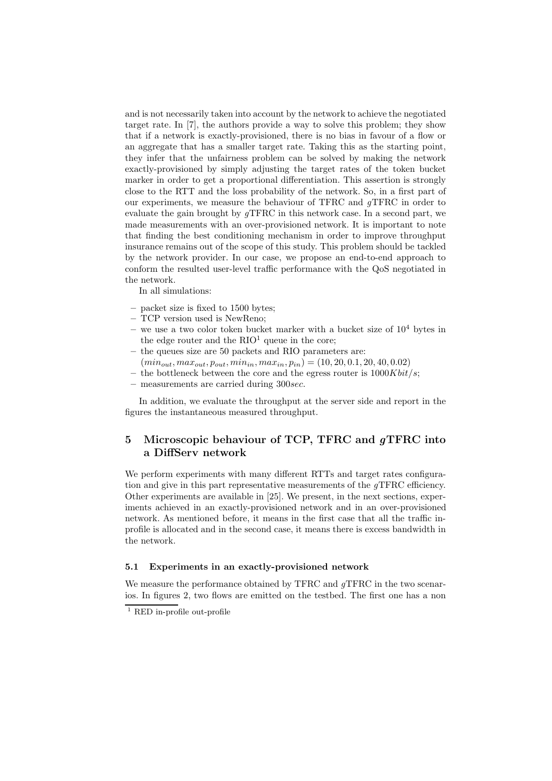and is not necessarily taken into account by the network to achieve the negotiated target rate. In [7], the authors provide a way to solve this problem; they show that if a network is exactly-provisioned, there is no bias in favour of a flow or an aggregate that has a smaller target rate. Taking this as the starting point, they infer that the unfairness problem can be solved by making the network exactly-provisioned by simply adjusting the target rates of the token bucket marker in order to get a proportional differentiation. This assertion is strongly close to the RTT and the loss probability of the network. So, in a first part of our experiments, we measure the behaviour of TFRC and  $q$ TFRC in order to evaluate the gain brought by  $g$ TFRC in this network case. In a second part, we made measurements with an over-provisioned network. It is important to note that finding the best conditioning mechanism in order to improve throughput insurance remains out of the scope of this study. This problem should be tackled by the network provider. In our case, we propose an end-to-end approach to conform the resulted user-level traffic performance with the QoS negotiated in the network.

In all simulations:

- packet size is fixed to 1500 bytes;
- TCP version used is NewReno;
- we use a two color token bucket marker with a bucket size of  $10^4$  bytes in the edge router and the  $RIO<sup>1</sup>$  queue in the core;
- the queues size are 50 packets and RIO parameters are:

 $(min_{out}, max_{out}, p_{out}, min_{in}, max_{in}, p_{in}) = (10, 20, 0.1, 20, 40, 0.02)$ 

- the bottleneck between the core and the egress router is  $1000Kbit/s$ ;
- measurements are carried during 300sec.

In addition, we evaluate the throughput at the server side and report in the figures the instantaneous measured throughput.

## 5 Microscopic behaviour of TCP, TFRC and gTFRC into a DiffServ network

We perform experiments with many different RTTs and target rates configuration and give in this part representative measurements of the gTFRC efficiency. Other experiments are available in [25]. We present, in the next sections, experiments achieved in an exactly-provisioned network and in an over-provisioned network. As mentioned before, it means in the first case that all the traffic inprofile is allocated and in the second case, it means there is excess bandwidth in the network.

#### 5.1 Experiments in an exactly-provisioned network

We measure the performance obtained by TFRC and  $q$ TFRC in the two scenarios. In figures 2, two flows are emitted on the testbed. The first one has a non

 $1$  RED in-profile out-profile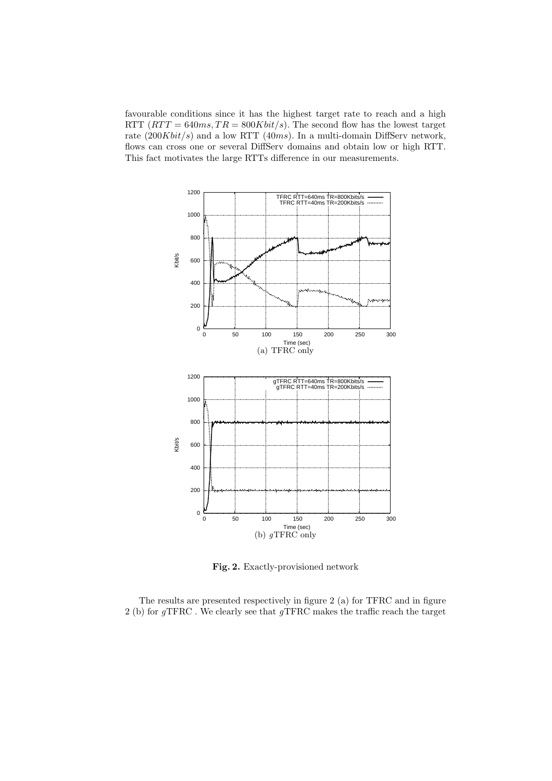favourable conditions since it has the highest target rate to reach and a high RTT  $(RTT = 640ms, TR = 800Kbit/s)$ . The second flow has the lowest target rate  $(200Kbit/s)$  and a low RTT  $(40ms)$ . In a multi-domain DiffServ network, flows can cross one or several DiffServ domains and obtain low or high RTT. This fact motivates the large RTTs difference in our measurements.



Fig. 2. Exactly-provisioned network

The results are presented respectively in figure 2 (a) for TFRC and in figure 2 (b) for  $g$ TFRC. We clearly see that  $g$ TFRC makes the traffic reach the target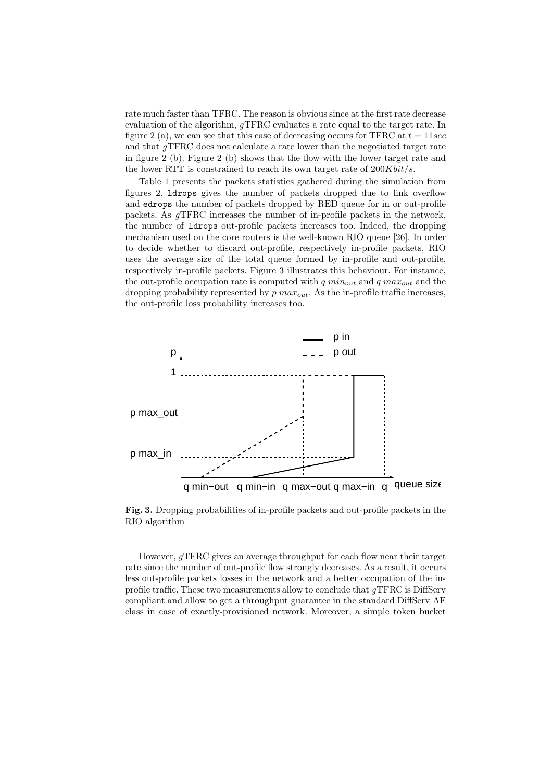rate much faster than TFRC. The reason is obvious since at the first rate decrease evaluation of the algorithm, gTFRC evaluates a rate equal to the target rate. In figure 2 (a), we can see that this case of decreasing occurs for TFRC at  $t = 11 sec$ and that gTFRC does not calculate a rate lower than the negotiated target rate in figure 2 (b). Figure 2 (b) shows that the flow with the lower target rate and the lower RTT is constrained to reach its own target rate of  $200Kbit/s$ .

Table 1 presents the packets statistics gathered during the simulation from figures 2. ldrops gives the number of packets dropped due to link overflow and edrops the number of packets dropped by RED queue for in or out-profile packets. As gTFRC increases the number of in-profile packets in the network, the number of ldrops out-profile packets increases too. Indeed, the dropping mechanism used on the core routers is the well-known RIO queue [26]. In order to decide whether to discard out-profile, respectively in-profile packets, RIO uses the average size of the total queue formed by in-profile and out-profile, respectively in-profile packets. Figure 3 illustrates this behaviour. For instance, the out-profile occupation rate is computed with  $q min_{out}$  and  $q max_{out}$  and the dropping probability represented by  $p \, max_{out}$ . As the in-profile traffic increases, the out-profile loss probability increases too.



Fig. 3. Dropping probabilities of in-profile packets and out-profile packets in the RIO algorithm

However, gTFRC gives an average throughput for each flow near their target rate since the number of out-profile flow strongly decreases. As a result, it occurs less out-profile packets losses in the network and a better occupation of the inprofile traffic. These two measurements allow to conclude that  $qTFRC$  is DiffServ compliant and allow to get a throughput guarantee in the standard DiffServ AF class in case of exactly-provisioned network. Moreover, a simple token bucket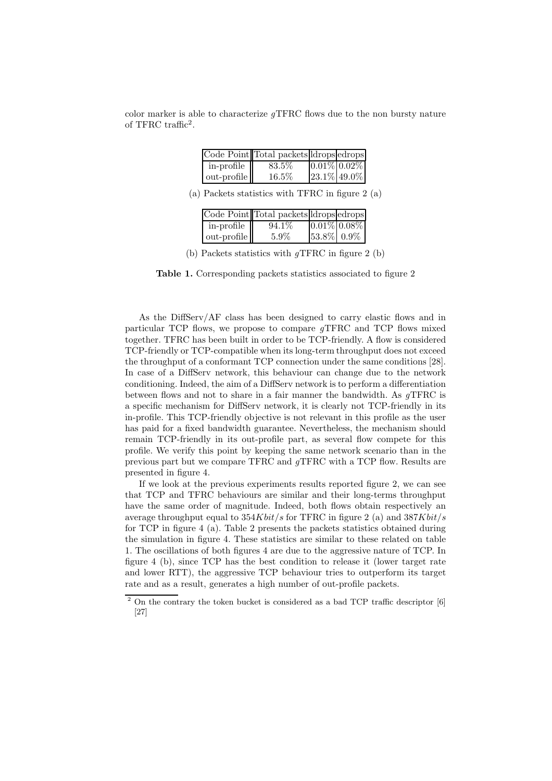color marker is able to characterize gTFRC flows due to the non bursty nature of TFRC traffic<sup>2</sup>.

|               | Code Point Total packets drops edrops |                |
|---------------|---------------------------------------|----------------|
| $in$ -profile | 83.5%                                 | $0.01\%$ 0.02% |
| out-profile   | $16.5\%$                              | 23.1% 49.0%    |

(a) Packets statistics with TFRC in figure 2 (a)

|                      | Code Point Total packets drops edrops |               |                |
|----------------------|---------------------------------------|---------------|----------------|
| in-profile           | 94.1\%                                |               | $0.01\%$ 0.08% |
| $out\text{-profile}$ | $5.9\%$                               | $53.8\%$ 0.9% |                |

(b) Packets statistics with gTFRC in figure 2 (b)

Table 1. Corresponding packets statistics associated to figure 2

As the DiffServ/AF class has been designed to carry elastic flows and in particular TCP flows, we propose to compare gTFRC and TCP flows mixed together. TFRC has been built in order to be TCP-friendly. A flow is considered TCP-friendly or TCP-compatible when its long-term throughput does not exceed the throughput of a conformant TCP connection under the same conditions [28]. In case of a DiffServ network, this behaviour can change due to the network conditioning. Indeed, the aim of a DiffServ network is to perform a differentiation between flows and not to share in a fair manner the bandwidth. As gTFRC is a specific mechanism for DiffServ network, it is clearly not TCP-friendly in its in-profile. This TCP-friendly objective is not relevant in this profile as the user has paid for a fixed bandwidth guarantee. Nevertheless, the mechanism should remain TCP-friendly in its out-profile part, as several flow compete for this profile. We verify this point by keeping the same network scenario than in the previous part but we compare TFRC and gTFRC with a TCP flow. Results are presented in figure 4.

If we look at the previous experiments results reported figure 2, we can see that TCP and TFRC behaviours are similar and their long-terms throughput have the same order of magnitude. Indeed, both flows obtain respectively an average throughput equal to  $354Kbit/s$  for TFRC in figure 2 (a) and  $387Kbit/s$ for TCP in figure 4 (a). Table 2 presents the packets statistics obtained during the simulation in figure 4. These statistics are similar to these related on table 1. The oscillations of both figures 4 are due to the aggressive nature of TCP. In figure 4 (b), since TCP has the best condition to release it (lower target rate and lower RTT), the aggressive TCP behaviour tries to outperform its target rate and as a result, generates a high number of out-profile packets.

<sup>&</sup>lt;sup>2</sup> On the contrary the token bucket is considered as a bad TCP traffic descriptor [6] [27]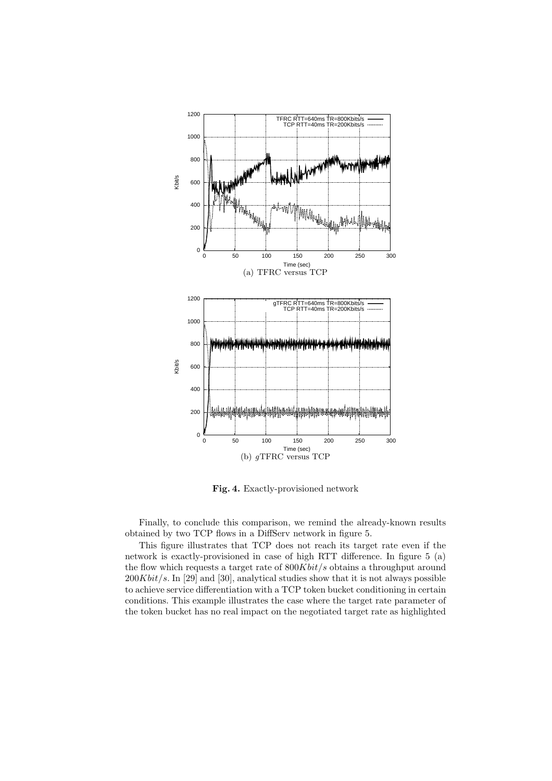

Fig. 4. Exactly-provisioned network

Finally, to conclude this comparison, we remind the already-known results obtained by two TCP flows in a DiffServ network in figure 5.

This figure illustrates that TCP does not reach its target rate even if the network is exactly-provisioned in case of high RTT difference. In figure 5 (a) the flow which requests a target rate of  $800Kbit/s$  obtains a throughput around  $200Kbit/s$ . In [29] and [30], analytical studies show that it is not always possible to achieve service differentiation with a TCP token bucket conditioning in certain conditions. This example illustrates the case where the target rate parameter of the token bucket has no real impact on the negotiated target rate as highlighted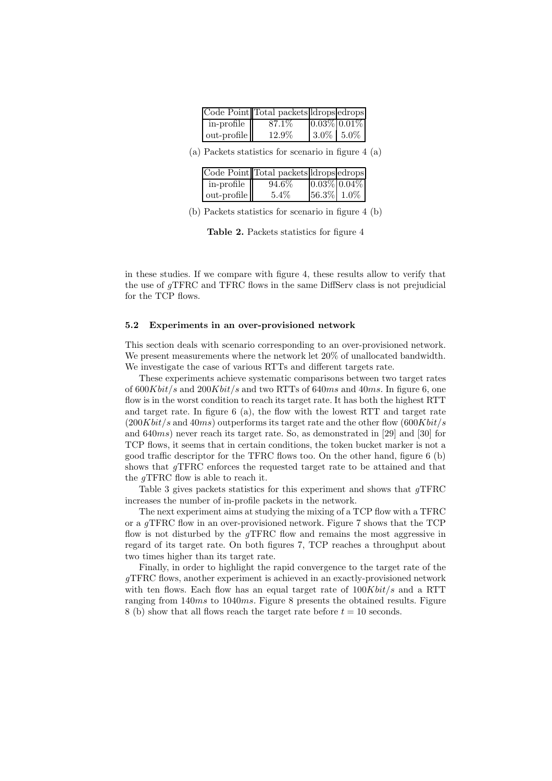|                           | Code Point Total packets drops edrops |                 |
|---------------------------|---------------------------------------|-----------------|
| $in$ -profile $\parallel$ | 87.1\%                                | $0.03\%$ 0.01\% |
| $out\text{-profile}$      | 12.9%                                 | $3.0\%$ 5.0%    |

(a) Packets statistics for scenario in figure 4 (a)

|                        | Code Point Total packets drops edrops |                |
|------------------------|---------------------------------------|----------------|
| in-profile $\parallel$ | 94.6%                                 | $0.03\%$ 0.04% |
| out-profile            | $5.4\%$                               | 56.3% 1.0%     |

(b) Packets statistics for scenario in figure 4 (b)

Table 2. Packets statistics for figure 4

in these studies. If we compare with figure 4, these results allow to verify that the use of gTFRC and TFRC flows in the same DiffServ class is not prejudicial for the TCP flows.

#### 5.2 Experiments in an over-provisioned network

This section deals with scenario corresponding to an over-provisioned network. We present measurements where the network let 20% of unallocated bandwidth. We investigate the case of various RTTs and different targets rate.

These experiments achieve systematic comparisons between two target rates of  $600Kbit/s$  and  $200Kbit/s$  and two RTTs of 640ms and 40ms. In figure 6, one flow is in the worst condition to reach its target rate. It has both the highest RTT and target rate. In figure 6 (a), the flow with the lowest RTT and target rate  $(200Kbit/s$  and  $40ms)$  outperforms its target rate and the other flow  $(600Kbit/s)$ and 640ms) never reach its target rate. So, as demonstrated in [29] and [30] for TCP flows, it seems that in certain conditions, the token bucket marker is not a good traffic descriptor for the TFRC flows too. On the other hand, figure 6 (b) shows that gTFRC enforces the requested target rate to be attained and that the  $qTFRC$  flow is able to reach it.

Table 3 gives packets statistics for this experiment and shows that gTFRC increases the number of in-profile packets in the network.

The next experiment aims at studying the mixing of a TCP flow with a TFRC or a gTFRC flow in an over-provisioned network. Figure 7 shows that the TCP flow is not disturbed by the  $qTFRC$  flow and remains the most aggressive in regard of its target rate. On both figures 7, TCP reaches a throughput about two times higher than its target rate.

Finally, in order to highlight the rapid convergence to the target rate of the gTFRC flows, another experiment is achieved in an exactly-provisioned network with ten flows. Each flow has an equal target rate of  $100Kbit/s$  and a RTT ranging from 140ms to 1040ms. Figure 8 presents the obtained results. Figure 8 (b) show that all flows reach the target rate before  $t = 10$  seconds.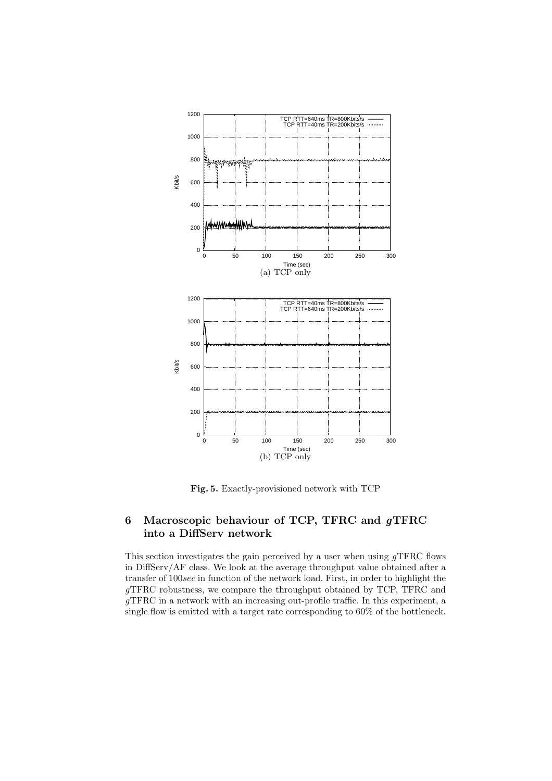

Fig. 5. Exactly-provisioned network with TCP

## 6 Macroscopic behaviour of TCP, TFRC and gTFRC into a DiffServ network

This section investigates the gain perceived by a user when using  $qTFRC$  flows in DiffServ/AF class. We look at the average throughput value obtained after a transfer of 100sec in function of the network load. First, in order to highlight the gTFRC robustness, we compare the throughput obtained by TCP, TFRC and gTFRC in a network with an increasing out-profile traffic. In this experiment, a single flow is emitted with a target rate corresponding to 60% of the bottleneck.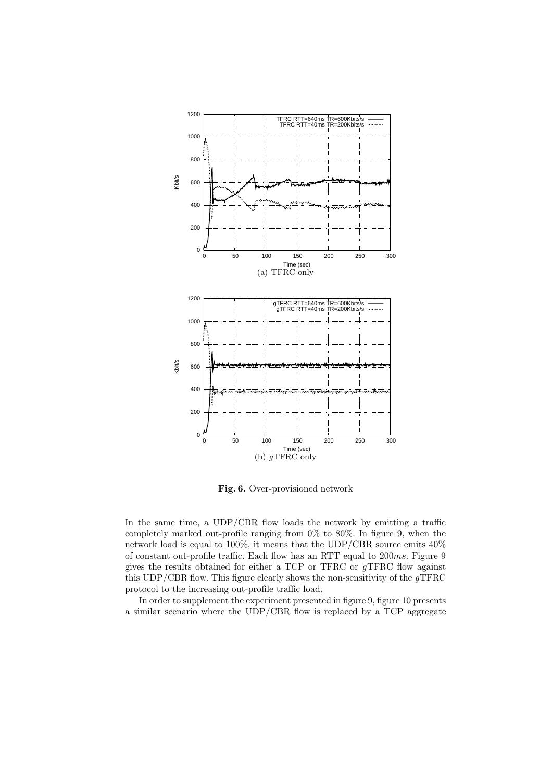

Fig. 6. Over-provisioned network

In the same time, a UDP/CBR flow loads the network by emitting a traffic completely marked out-profile ranging from 0% to 80%. In figure 9, when the network load is equal to 100%, it means that the UDP/CBR source emits 40% of constant out-profile traffic. Each flow has an RTT equal to 200ms. Figure 9 gives the results obtained for either a TCP or TFRC or gTFRC flow against this UDP/CBR flow. This figure clearly shows the non-sensitivity of the  $qTFRC$ protocol to the increasing out-profile traffic load.

In order to supplement the experiment presented in figure 9, figure 10 presents a similar scenario where the UDP/CBR flow is replaced by a TCP aggregate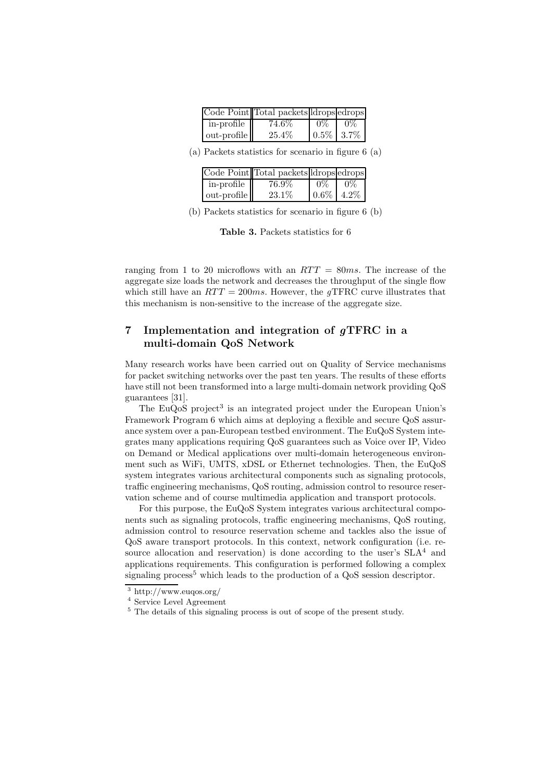|                      | Code Point Total packets drops edrops |                |       |
|----------------------|---------------------------------------|----------------|-------|
| $in$ -profile        | 74.6%                                 | $0\%$          | $0\%$ |
| $out\text{-profile}$ | 25.4\%                                | $0.5\%$   3.7% |       |

(a) Packets statistics for scenario in figure 6 (a)

|                     | Code Point Total packets drops edrops |         |         |
|---------------------|---------------------------------------|---------|---------|
| $in$ -profile       | 76.9%                                 | $0\%$   | $0\%$   |
| $\vert$ out-profile | 23.1\%                                | $0.6\%$ | $4.2\%$ |

(b) Packets statistics for scenario in figure 6 (b)

Table 3. Packets statistics for 6

ranging from 1 to 20 microflows with an  $RTT = 80ms$ . The increase of the aggregate size loads the network and decreases the throughput of the single flow which still have an  $RTT = 200ms$ . However, the qTFRC curve illustrates that this mechanism is non-sensitive to the increase of the aggregate size.

# 7 Implementation and integration of gTFRC in a multi-domain QoS Network

Many research works have been carried out on Quality of Service mechanisms for packet switching networks over the past ten years. The results of these efforts have still not been transformed into a large multi-domain network providing QoS guarantees [31].

The Eu $QoS$  project<sup>3</sup> is an integrated project under the European Union's Framework Program 6 which aims at deploying a flexible and secure QoS assurance system over a pan-European testbed environment. The EuQoS System integrates many applications requiring QoS guarantees such as Voice over IP, Video on Demand or Medical applications over multi-domain heterogeneous environment such as WiFi, UMTS, xDSL or Ethernet technologies. Then, the EuQoS system integrates various architectural components such as signaling protocols, traffic engineering mechanisms, QoS routing, admission control to resource reservation scheme and of course multimedia application and transport protocols.

For this purpose, the EuQoS System integrates various architectural components such as signaling protocols, traffic engineering mechanisms, QoS routing, admission control to resource reservation scheme and tackles also the issue of QoS aware transport protocols. In this context, network configuration (i.e. resource allocation and reservation) is done according to the user's  $SLA<sup>4</sup>$  and applications requirements. This configuration is performed following a complex signaling process<sup>5</sup> which leads to the production of a OoS session descriptor.

<sup>3</sup> http://www.euqos.org/

<sup>4</sup> Service Level Agreement

<sup>5</sup> The details of this signaling process is out of scope of the present study.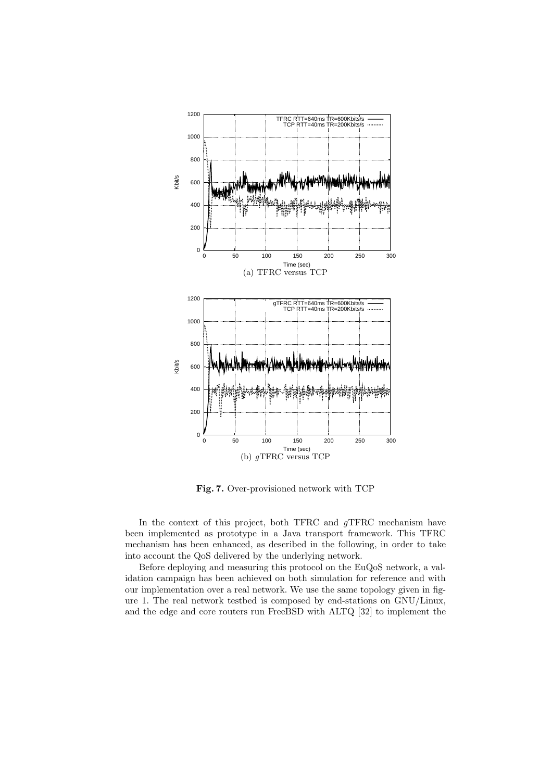

Fig. 7. Over-provisioned network with TCP

In the context of this project, both TFRC and gTFRC mechanism have been implemented as prototype in a Java transport framework. This TFRC mechanism has been enhanced, as described in the following, in order to take into account the QoS delivered by the underlying network.

Before deploying and measuring this protocol on the EuQoS network, a validation campaign has been achieved on both simulation for reference and with our implementation over a real network. We use the same topology given in figure 1. The real network testbed is composed by end-stations on GNU/Linux, and the edge and core routers run FreeBSD with ALTQ [32] to implement the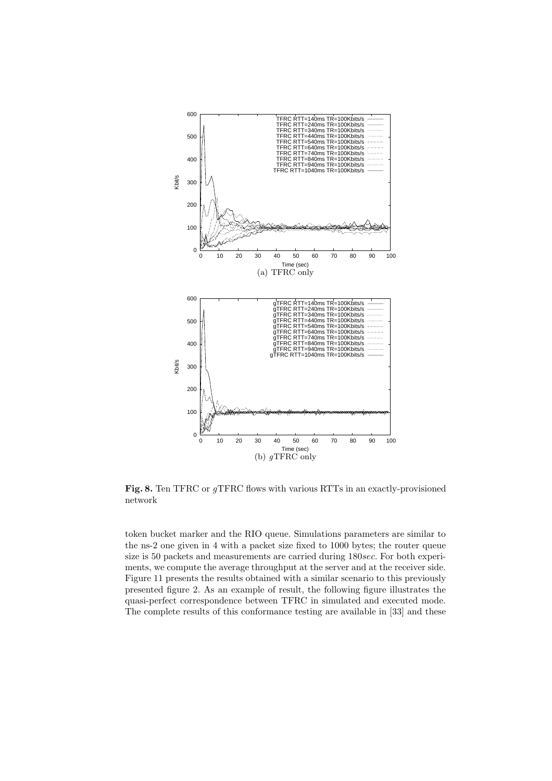

Fig. 8. Ten TFRC or gTFRC flows with various RTTs in an exactly-provisioned network

token bucket marker and the RIO queue. Simulations parameters are similar to the ns-2 one given in 4 with a packet size fixed to 1000 bytes; the router queue size is 50 packets and measurements are carried during 180sec. For both experiments, we compute the average throughput at the server and at the receiver side. Figure 11 presents the results obtained with a similar scenario to this previously presented figure 2. As an example of result, the following figure illustrates the quasi-perfect correspondence between TFRC in simulated and executed mode. The complete results of this conformance testing are available in [33] and these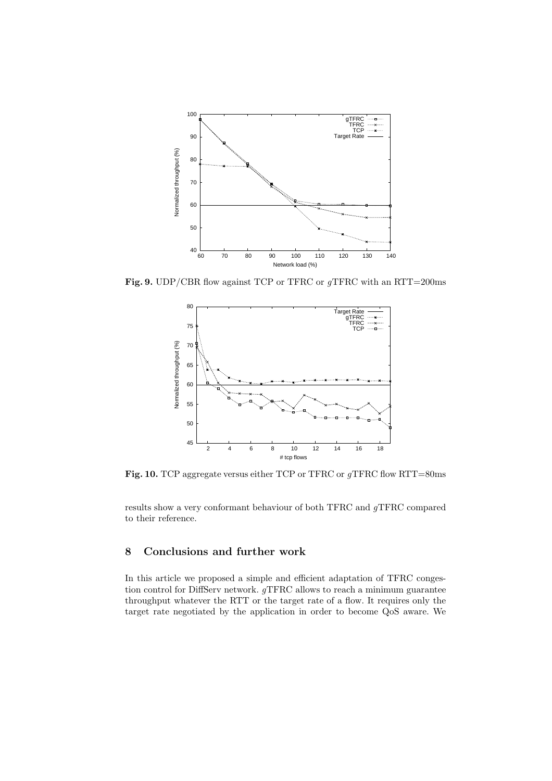

Fig. 9. UDP/CBR flow against TCP or TFRC or  $g$ TFRC with an RTT=200ms



Fig. 10. TCP aggregate versus either TCP or TFRC or  $g$ TFRC flow RTT=80ms

results show a very conformant behaviour of both TFRC and gTFRC compared to their reference.

### 8 Conclusions and further work

In this article we proposed a simple and efficient adaptation of TFRC congestion control for DiffServ network. gTFRC allows to reach a minimum guarantee throughput whatever the RTT or the target rate of a flow. It requires only the target rate negotiated by the application in order to become QoS aware. We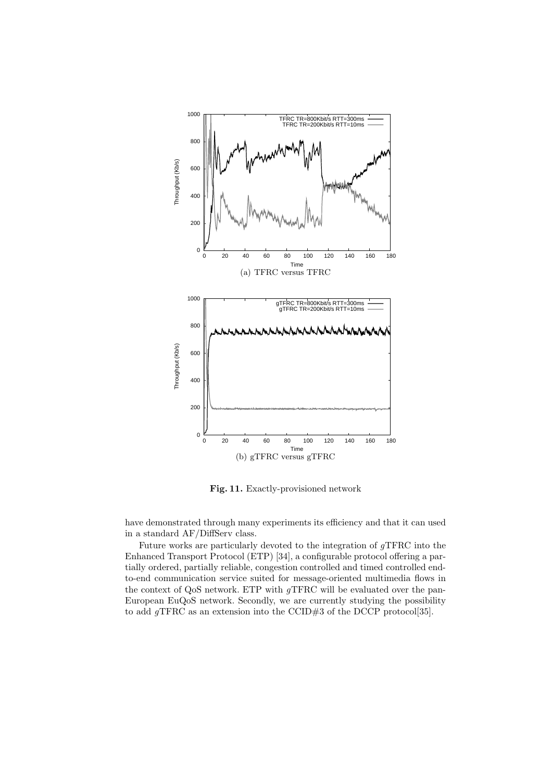

Fig. 11. Exactly-provisioned network

have demonstrated through many experiments its efficiency and that it can used in a standard AF/DiffServ class.

Future works are particularly devoted to the integration of gTFRC into the Enhanced Transport Protocol (ETP) [34], a configurable protocol offering a partially ordered, partially reliable, congestion controlled and timed controlled endto-end communication service suited for message-oriented multimedia flows in the context of QoS network. ETP with gTFRC will be evaluated over the pan-European EuQoS network. Secondly, we are currently studying the possibility to add  $g$ TFRC as an extension into the CCID#3 of the DCCP protocol[35].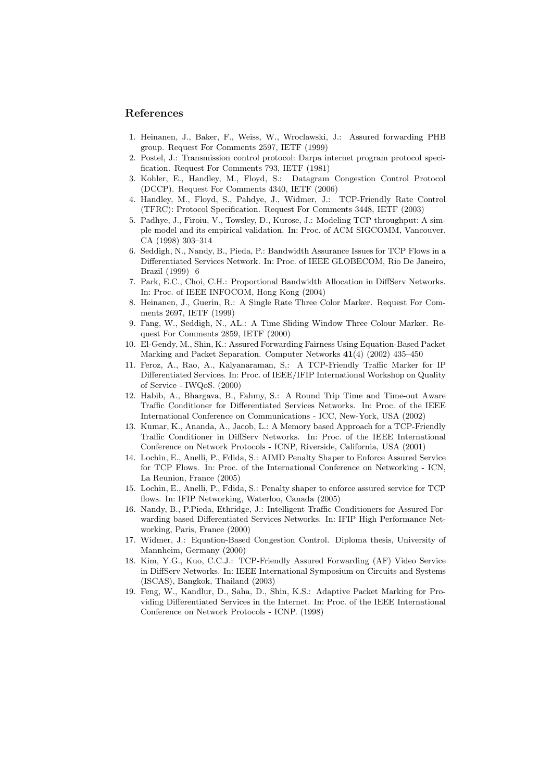### References

- 1. Heinanen, J., Baker, F., Weiss, W., Wroclawski, J.: Assured forwarding PHB group. Request For Comments 2597, IETF (1999)
- 2. Postel, J.: Transmission control protocol: Darpa internet program protocol specification. Request For Comments 793, IETF (1981)
- 3. Kohler, E., Handley, M., Floyd, S.: Datagram Congestion Control Protocol (DCCP). Request For Comments 4340, IETF (2006)
- 4. Handley, M., Floyd, S., Pahdye, J., Widmer, J.: TCP-Friendly Rate Control (TFRC): Protocol Specification. Request For Comments 3448, IETF (2003)
- 5. Padhye, J., Firoiu, V., Towsley, D., Kurose, J.: Modeling TCP throughput: A simple model and its empirical validation. In: Proc. of ACM SIGCOMM, Vancouver, CA (1998) 303–314
- 6. Seddigh, N., Nandy, B., Pieda, P.: Bandwidth Assurance Issues for TCP Flows in a Differentiated Services Network. In: Proc. of IEEE GLOBECOM, Rio De Janeiro, Brazil (1999) 6
- 7. Park, E.C., Choi, C.H.: Proportional Bandwidth Allocation in DiffServ Networks. In: Proc. of IEEE INFOCOM, Hong Kong (2004)
- 8. Heinanen, J., Guerin, R.: A Single Rate Three Color Marker. Request For Comments 2697, IETF (1999)
- 9. Fang, W., Seddigh, N., AL.: A Time Sliding Window Three Colour Marker. Request For Comments 2859, IETF (2000)
- 10. El-Gendy, M., Shin, K.: Assured Forwarding Fairness Using Equation-Based Packet Marking and Packet Separation. Computer Networks 41(4) (2002) 435–450
- 11. Feroz, A., Rao, A., Kalyanaraman, S.: A TCP-Friendly Traffic Marker for IP Differentiated Services. In: Proc. of IEEE/IFIP International Workshop on Quality of Service - IWQoS. (2000)
- 12. Habib, A., Bhargava, B., Fahmy, S.: A Round Trip Time and Time-out Aware Traffic Conditioner for Differentiated Services Networks. In: Proc. of the IEEE International Conference on Communications - ICC, New-York, USA (2002)
- 13. Kumar, K., Ananda, A., Jacob, L.: A Memory based Approach for a TCP-Friendly Traffic Conditioner in DiffServ Networks. In: Proc. of the IEEE International Conference on Network Protocols - ICNP, Riverside, California, USA (2001)
- 14. Lochin, E., Anelli, P., Fdida, S.: AIMD Penalty Shaper to Enforce Assured Service for TCP Flows. In: Proc. of the International Conference on Networking - ICN, La Reunion, France (2005)
- 15. Lochin, E., Anelli, P., Fdida, S.: Penalty shaper to enforce assured service for TCP flows. In: IFIP Networking, Waterloo, Canada (2005)
- 16. Nandy, B., P.Pieda, Ethridge, J.: Intelligent Traffic Conditioners for Assured Forwarding based Differentiated Services Networks. In: IFIP High Performance Networking, Paris, France (2000)
- 17. Widmer, J.: Equation-Based Congestion Control. Diploma thesis, University of Mannheim, Germany (2000)
- 18. Kim, Y.G., Kuo, C.C.J.: TCP-Friendly Assured Forwarding (AF) Video Service in DiffServ Networks. In: IEEE International Symposium on Circuits and Systems (ISCAS), Bangkok, Thailand (2003)
- 19. Feng, W., Kandlur, D., Saha, D., Shin, K.S.: Adaptive Packet Marking for Providing Differentiated Services in the Internet. In: Proc. of the IEEE International Conference on Network Protocols - ICNP. (1998)